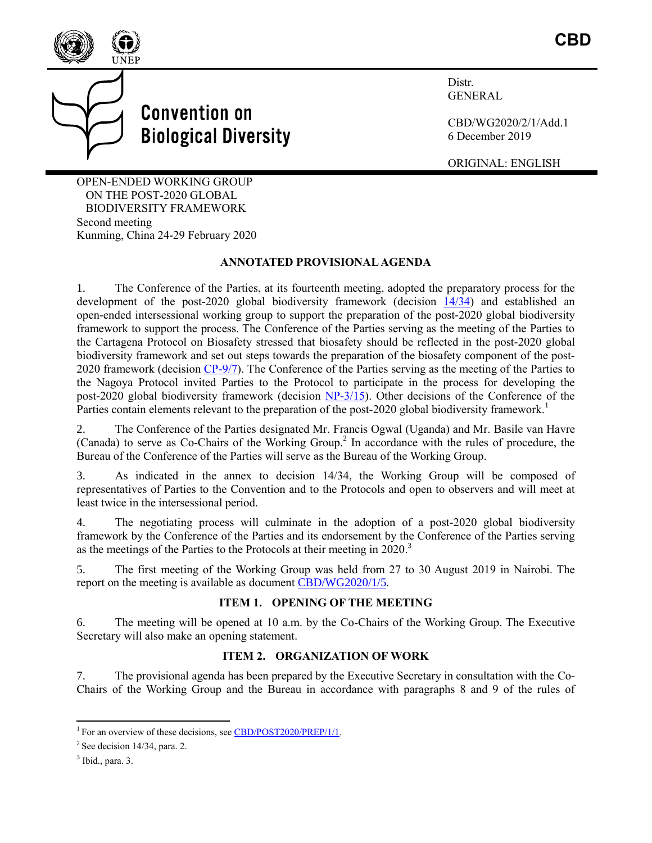



**Distr** GENERAL

CBD/WG2020/2/1/Add.1 6 December 2019

ORIGINAL: ENGLISH

OPEN-ENDED WORKING GROUP ON THE POST-2020 GLOBAL BIODIVERSITY FRAMEWORK Second meeting Kunming, China 24-29 February 2020

#### **ANNOTATED PROVISIONAL AGENDA**

1. The Conference of the Parties, at its fourteenth meeting, adopted the preparatory process for the development of the post-2020 global biodiversity framework (decision [14/34\)](https://www.cbd.int/doc/decisions/cop-14/cop-14-dec-34-en.pdf) and established an open-ended intersessional working group to support the preparation of the post-2020 global biodiversity framework to support the process. The Conference of the Parties serving as the meeting of the Parties to the Cartagena Protocol on Biosafety stressed that biosafety should be reflected in the post-2020 global biodiversity framework and set out steps towards the preparation of the biosafety component of the post-2020 framework (decision [CP-9/7\)](https://www.cbd.int/doc/decisions/cp-mop-09/cp-mop-09-dec-07-en.pdf). The Conference of the Parties serving as the meeting of the Parties to the Nagoya Protocol invited Parties to the Protocol to participate in the process for developing the post-2020 global biodiversity framework (decision [NP-3/15\)](https://www.cbd.int/doc/decisions/np-mop-03/np-mop-03-dec-15-en.pdf). Other decisions of the Conference of the Parties contain elements relevant to the preparation of the post-2020 global biodiversity framework.<sup>1</sup>

2. The Conference of the Parties designated Mr. Francis Ogwal (Uganda) and Mr. Basile van Havre (Canada) to serve as Co-Chairs of the Working Group. 2 In accordance with the rules of procedure, the Bureau of the Conference of the Parties will serve as the Bureau of the Working Group.

3. As indicated in the annex to decision 14/34, the Working Group will be composed of representatives of Parties to the Convention and to the Protocols and open to observers and will meet at least twice in the intersessional period.

4. The negotiating process will culminate in the adoption of a post-2020 global biodiversity framework by the Conference of the Parties and its endorsement by the Conference of the Parties serving as the meetings of the Parties to the Protocols at their meeting in 2020.<sup>3</sup>

5. The first meeting of the Working Group was held from 27 to 30 August 2019 in Nairobi. The report on the meeting is available as documen[t CBD/WG2020/1/5.](https://www.cbd.int/doc/c/0128/62b1/e4ded7710fead87860fed08d/wg2020-01-05-en.pdf)

## **ITEM 1. OPENING OF THE MEETING**

6. The meeting will be opened at 10 a.m. by the Co-Chairs of the Working Group. The Executive Secretary will also make an opening statement.

#### **ITEM 2. ORGANIZATION OF WORK**

7. The provisional agenda has been prepared by the Executive Secretary in consultation with the Co-Chairs of the Working Group and the Bureau in accordance with paragraphs 8 and 9 of the rules of

<sup>&</sup>lt;sup>1</sup> For an overview of these decisions, see [CBD/POST2020/PREP/1/1.](https://www.cbd.int/doc/c/d0f3/aca0/d42fa469029f5a4d69f4da8e/post2020-prep-01-01-en.pdf)

 $2^2$  See decision 14/34, para. 2.

 $3$  Ibid., para. 3.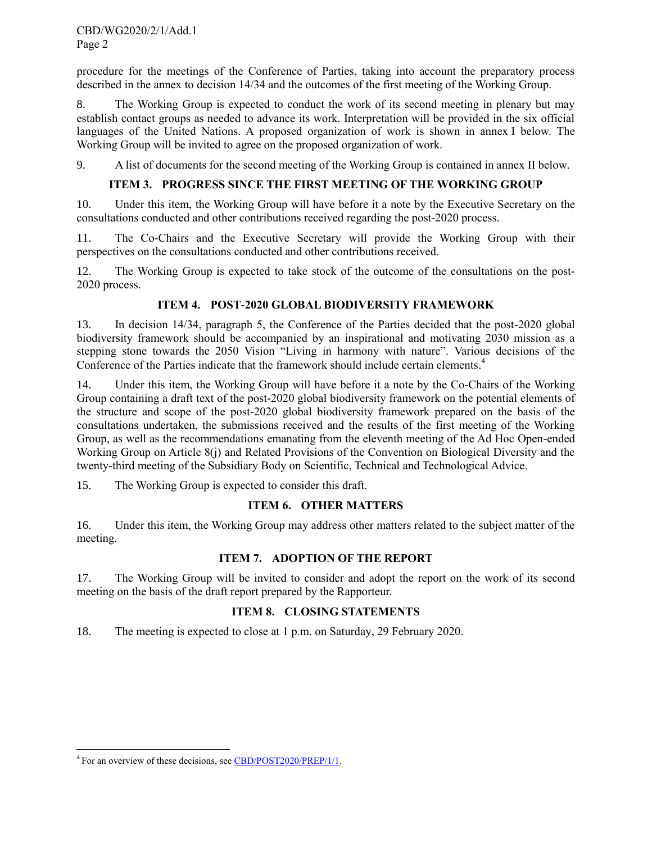CBD/WG2020/2/1/Add.1 Page 2

procedure for the meetings of the Conference of Parties, taking into account the preparatory process described in the annex to decision 14/34 and the outcomes of the first meeting of the Working Group.

8. The Working Group is expected to conduct the work of its second meeting in plenary but may establish contact groups as needed to advance its work. Interpretation will be provided in the six official languages of the United Nations. A proposed organization of work is shown in annex I below. The Working Group will be invited to agree on the proposed organization of work.

9. A list of documents for the second meeting of the Working Group is contained in annex II below.

# **ITEM 3. PROGRESS SINCE THE FIRST MEETING OF THE WORKING GROUP**

10. Under this item, the Working Group will have before it a note by the Executive Secretary on the consultations conducted and other contributions received regarding the post-2020 process.

11. The Co-Chairs and the Executive Secretary will provide the Working Group with their perspectives on the consultations conducted and other contributions received.

12. The Working Group is expected to take stock of the outcome of the consultations on the post-2020 process.

## **ITEM 4. POST-2020 GLOBAL BIODIVERSITY FRAMEWORK**

13. In decision 14/34, paragraph 5, the Conference of the Parties decided that the post-2020 global biodiversity framework should be accompanied by an inspirational and motivating 2030 mission as a stepping stone towards the 2050 Vision "Living in harmony with nature". Various decisions of the Conference of the Parties indicate that the framework should include certain elements. 4

14. Under this item, the Working Group will have before it a note by the Co-Chairs of the Working Group containing a draft text of the post-2020 global biodiversity framework on the potential elements of the structure and scope of the post-2020 global biodiversity framework prepared on the basis of the consultations undertaken, the submissions received and the results of the first meeting of the Working Group, as well as the recommendations emanating from the eleventh meeting of the Ad Hoc Open-ended Working Group on Article 8(j) and Related Provisions of the Convention on Biological Diversity and the twenty-third meeting of the Subsidiary Body on Scientific, Technical and Technological Advice.

15. The Working Group is expected to consider this draft.

#### **ITEM 6. OTHER MATTERS**

16. Under this item, the Working Group may address other matters related to the subject matter of the meeting.

## **ITEM 7. ADOPTION OF THE REPORT**

17. The Working Group will be invited to consider and adopt the report on the work of its second meeting on the basis of the draft report prepared by the Rapporteur.

## **ITEM 8. CLOSING STATEMENTS**

18. The meeting is expected to close at 1 p.m. on Saturday, 29 February 2020.

 $\overline{\phantom{a}}$ 

<sup>&</sup>lt;sup>4</sup> For an overview of these decisions, see **CBD/POST2020/PREP/1/1**.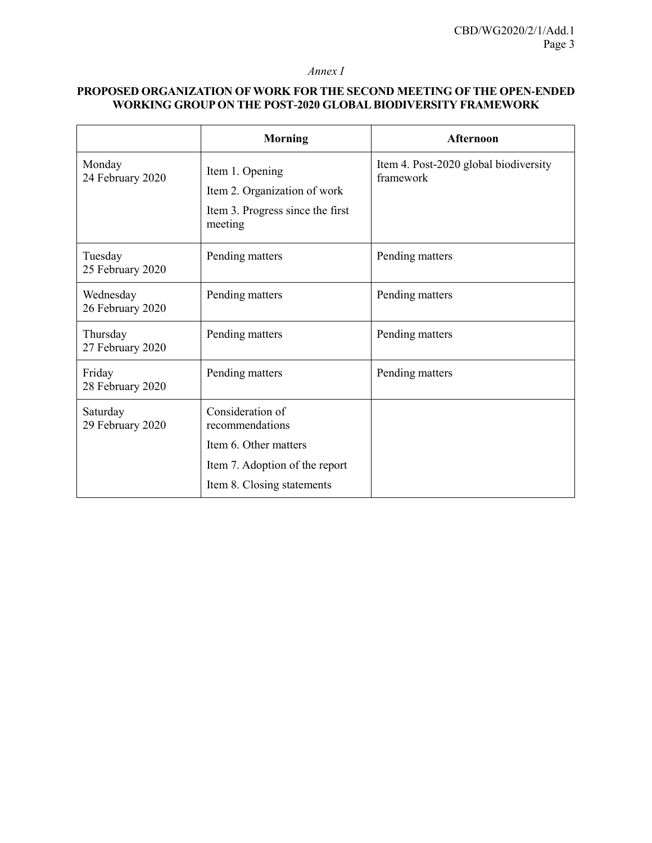#### *Annex I*

# **PROPOSED ORGANIZATION OF WORK FOR THE SECOND MEETING OF THE OPEN-ENDED WORKING GROUP ON THE POST-2020 GLOBAL BIODIVERSITY FRAMEWORK**

|                               | <b>Morning</b>                                                                                 | Afternoon                                          |
|-------------------------------|------------------------------------------------------------------------------------------------|----------------------------------------------------|
| Monday<br>24 February 2020    | Item 1. Opening<br>Item 2. Organization of work<br>Item 3. Progress since the first<br>meeting | Item 4. Post-2020 global biodiversity<br>framework |
| Tuesday<br>25 February 2020   | Pending matters                                                                                | Pending matters                                    |
| Wednesday<br>26 February 2020 | Pending matters                                                                                | Pending matters                                    |
| Thursday<br>27 February 2020  | Pending matters                                                                                | Pending matters                                    |
| Friday<br>28 February 2020    | Pending matters                                                                                | Pending matters                                    |
| Saturday<br>29 February 2020  | Consideration of<br>recommendations                                                            |                                                    |
|                               | Item 6. Other matters                                                                          |                                                    |
|                               | Item 7. Adoption of the report                                                                 |                                                    |
|                               | Item 8. Closing statements                                                                     |                                                    |